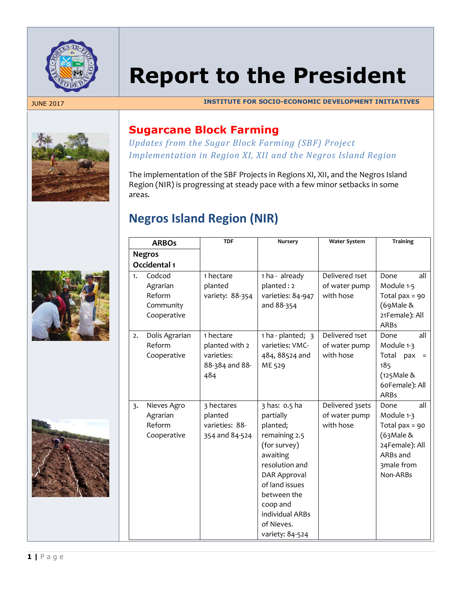

# **Report to the President**

JUNE 2017 **INSTITUTE FOR SOCIO-ECONOMIC DEVELOPMENT INITIATIVES**







### **Sugarcane Block Farming**

*Updates from the Sugar Block Farming (SBF) Project Implementation in Region XI, XII and the Negros Island Region*

The implementation of the SBF Projects in Regions XI, XII, and the Negros Island Region (NIR) is progressing at steady pace with a few minor setbacks in some areas.

# **Negros Island Region (NIR)**

|               | <b>ARBOs</b>                                             | <b>TDF</b>                                                         | Nursery                                                                                                                                                                                                                       | <b>Water System</b>                           | <b>Training</b>                                                                                                       |
|---------------|----------------------------------------------------------|--------------------------------------------------------------------|-------------------------------------------------------------------------------------------------------------------------------------------------------------------------------------------------------------------------------|-----------------------------------------------|-----------------------------------------------------------------------------------------------------------------------|
| <b>Negros</b> |                                                          |                                                                    |                                                                                                                                                                                                                               |                                               |                                                                                                                       |
|               | Occidental 1                                             |                                                                    |                                                                                                                                                                                                                               |                                               |                                                                                                                       |
| 1.            | Codcod<br>Agrarian<br>Reform<br>Community<br>Cooperative | 1 hectare<br>planted<br>variety: 88-354                            | 1 ha - already<br>planted: 2<br>varieties: 84-947<br>and 88-354                                                                                                                                                               | Delivered 1set<br>of water pump<br>with hose  | Done<br>all<br>Module 1-5<br>Total $pax = 90$<br>(69Male &<br>21Female): All<br><b>ARBs</b>                           |
| 2.            | Dolis Agrarian<br>Reform<br>Cooperative                  | 1 hectare<br>planted with 2<br>varieties:<br>88-384 and 88-<br>484 | $1 ha$ - planted; $3$<br>varieties: VMC-<br>484, 88524 and<br>ME 529                                                                                                                                                          | Delivered 1set<br>of water pump<br>with hose  | all<br>Done<br>Module 1-3<br>Total pax<br>$\equiv$<br>185<br>(125 Male &<br>60Female): All<br><b>ARBs</b>             |
| 3.            | Nieves Agro<br>Agrarian<br>Reform<br>Cooperative         | 3 hectares<br>planted<br>varieties: 88-<br>354 and 84-524          | 3 has: 0.5 ha<br>partially<br>planted;<br>remaining 2.5<br>(for survey)<br>awaiting<br>resolution and<br><b>DAR Approval</b><br>of land issues<br>between the<br>coop and<br>individual ARBs<br>of Nieves.<br>variety: 84-524 | Delivered 3sets<br>of water pump<br>with hose | Done<br>all<br>Module 1-3<br>Total $pax = 90$<br>$(63$ Male &<br>24Female): All<br>ARBs and<br>3male from<br>Non-ARBs |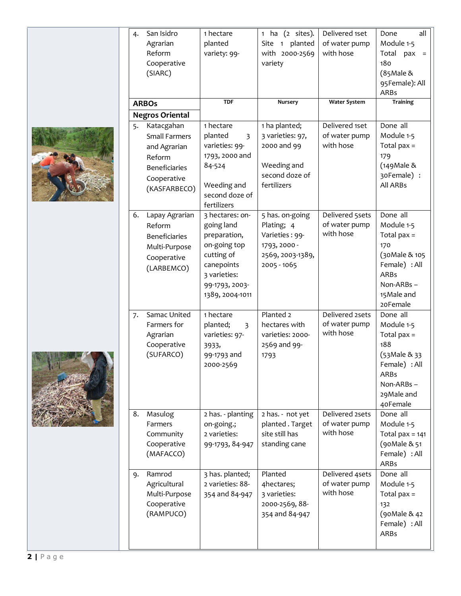

| 4. | San Isidro<br>Agrarian<br>Reform<br>Cooperative<br>(SIARC)<br><b>ARBOs</b>                                          | 1 hectare<br>planted<br>variety: 99-<br><b>TDF</b>                                                                                                            | $(2 \text{ sites}).$<br>1 ha<br>Site 1 planted<br>with 2000-2569<br>variety<br><b>Nursery</b>      | Delivered 1set<br>of water pump<br>with hose<br>Water System | Done<br>all<br>Module 1-5<br>Total<br>pax<br>$=$<br>180<br>$(85$ Male &<br>95Female): All<br><b>ARBs</b><br><b>Training</b>              |
|----|---------------------------------------------------------------------------------------------------------------------|---------------------------------------------------------------------------------------------------------------------------------------------------------------|----------------------------------------------------------------------------------------------------|--------------------------------------------------------------|------------------------------------------------------------------------------------------------------------------------------------------|
|    | <b>Negros Oriental</b>                                                                                              |                                                                                                                                                               |                                                                                                    |                                                              |                                                                                                                                          |
| 5. | Katacgahan<br><b>Small Farmers</b><br>and Agrarian<br>Reform<br><b>Beneficiaries</b><br>Cooperative<br>(KASFARBECO) | 1 hectare<br>planted<br>$\overline{3}$<br>varieties: 99-<br>1793, 2000 and<br>84-524<br>Weeding and<br>second doze of                                         | 1 ha planted;<br>3 varieties: 97,<br>2000 and 99<br>Weeding and<br>second doze of<br>fertilizers   | Delivered 1set<br>of water pump<br>with hose                 | Done all<br>Module 1-5<br>Total $pax =$<br>179<br>$(149$ Male &<br>30Female) :<br>All ARBs                                               |
| 6. | Lapay Agrarian<br>Reform<br><b>Beneficiaries</b><br>Multi-Purpose<br>Cooperative<br>(LARBEMCO)                      | fertilizers<br>3 hectares: on-<br>going land<br>preparation,<br>on-going top<br>cutting of<br>canepoints<br>3 varieties:<br>99-1793, 2003-<br>1389, 2004-1011 | 5 has. on-going<br>Plating; 4<br>Varieties: 99-<br>1793, 2000 -<br>2569, 2003-1389,<br>2005 - 1065 | Delivered 5sets<br>of water pump<br>with hose                | Done all<br>Module 1-5<br>Total $pax =$<br>170<br>(30 Male & 105<br>Female) : All<br><b>ARBs</b><br>Non-ARBs-<br>15 Male and<br>20Female |
| 7. | Samac United<br>Farmers for<br>Agrarian<br>Cooperative<br>(SUFARCO)                                                 | 1 hectare<br>planted;<br>$\overline{3}$<br>varieties: 97-<br>3933,<br>99-1793 and<br>2000-2569                                                                | Planted 2<br>hectares with<br>varieties: 2000-<br>2569 and 99-<br>1793                             | Delivered 2sets<br>of water pump<br>with hose                | Done all<br>Module 1-5<br>Total $pax =$<br>188<br>(53 Male & 33<br>Female) : All<br>ARBs<br>Non-ARBs-<br>29Male and<br>40Female          |
| 8. | Masulog<br>Farmers<br>Community<br>Cooperative<br>(MAFACCO)                                                         | 2 has. - planting<br>on-going.;<br>2 varieties:<br>99-1793, 84-947                                                                                            | 2 has. - not yet<br>planted. Target<br>site still has<br>standing cane                             | Delivered 2sets<br>of water pump<br>with hose                | Done all<br>Module 1-5<br>Total pax = $141$<br>(90Male & 51<br>Female) : All<br><b>ARBs</b>                                              |
| 9. | Ramrod<br>Agricultural<br>Multi-Purpose<br>Cooperative<br>(RAMPUCO)                                                 | 3 has. planted;<br>2 varieties: 88-<br>354 and 84-947                                                                                                         | Planted<br>4hectares;<br>3 varieties:<br>2000-2569, 88-<br>354 and 84-947                          | Delivered 4sets<br>of water pump<br>with hose                | Done all<br>Module 1-5<br>Total $pax =$<br>132<br>$(90$ Male & 42<br>Female) : All<br>ARBs                                               |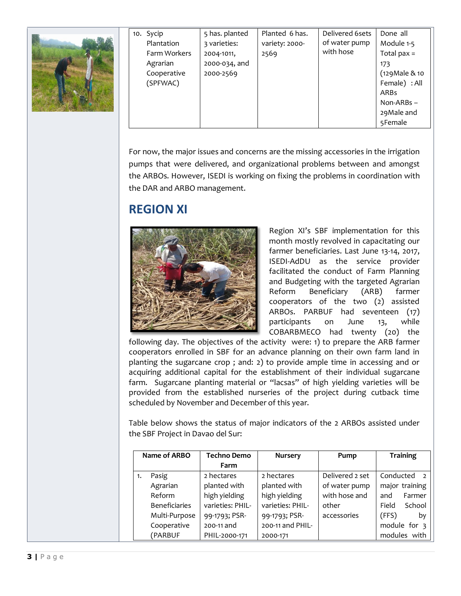

| 10. Sycip    | 5 has. planted | Planted 6 has. | Delivered 6sets | Done all       |
|--------------|----------------|----------------|-----------------|----------------|
| Plantation   | 3 varieties:   | variety: 2000- | of water pump   | Module 1-5     |
| Farm Workers | 2004-1011,     | 2569           | with hose       | Total $pax =$  |
| Agrarian     | 2000-034, and  |                |                 | 173            |
| Cooperative  | 2000-2569      |                |                 | (129 Male & 10 |
| (SPFWAC)     |                |                |                 | Female) : All  |
|              |                |                |                 | <b>ARBs</b>    |
|              |                |                |                 | $Non-ARBs -$   |
|              |                |                |                 | 29 Male and    |
|              |                |                |                 | 5Female        |

For now, the major issues and concerns are the missing accessories in the irrigation pumps that were delivered, and organizational problems between and amongst the ARBOs. However, ISEDI is working on fixing the problems in coordination with the DAR and ARBO management.

# **REGION XI**



Region XI's SBF implementation for this month mostly revolved in capacitating our farmer beneficiaries. Last June 13-14, 2017, ISEDI-AdDU as the service provider facilitated the conduct of Farm Planning and Budgeting with the targeted Agrarian Reform Beneficiary (ARB) farmer cooperators of the two (2) assisted ARBOs. PARBUF had seventeen (17) participants on June 13, while COBARBMECO had twenty (20) the

following day. The objectives of the activity were: 1) to prepare the ARB farmer cooperators enrolled in SBF for an advance planning on their own farm land in planting the sugarcane crop ; and: 2) to provide ample time in accessing and or acquiring additional capital for the establishment of their individual sugarcane farm. Sugarcane planting material or "lacsas" of high yielding varieties will be provided from the established nurseries of the project during cutback time scheduled by November and December of this year.

Table below shows the status of major indicators of the 2 ARBOs assisted under the SBF Project in Davao del Sur:

| Name of ARBO |                      | <b>Techno Demo</b> | <b>Nursery</b>   | Pump            | <b>Training</b>             |
|--------------|----------------------|--------------------|------------------|-----------------|-----------------------------|
|              |                      | Farm               |                  |                 |                             |
| 1.           | Pasig                | 2 hectares         | 2 hectares       | Delivered 2 set | Conducted<br>$\overline{z}$ |
|              | Agrarian             | planted with       | planted with     | of water pump   | major training              |
|              | Reform               | high yielding      | high yielding    | with hose and   | Farmer<br>and               |
|              | <b>Beneficiaries</b> | varieties: PHIL-   | varieties: PHIL- | other           | School<br>Field             |
|              | Multi-Purpose        | 99-1793; PSR-      | 99-1793; PSR-    | accessories     | (FFS)<br>bν                 |
|              | Cooperative          | 200-11 and         | 200-11 and PHIL- |                 | module for 3                |
|              | (PARBUF              | PHIL-2000-171      | 2000-171         |                 | modules with                |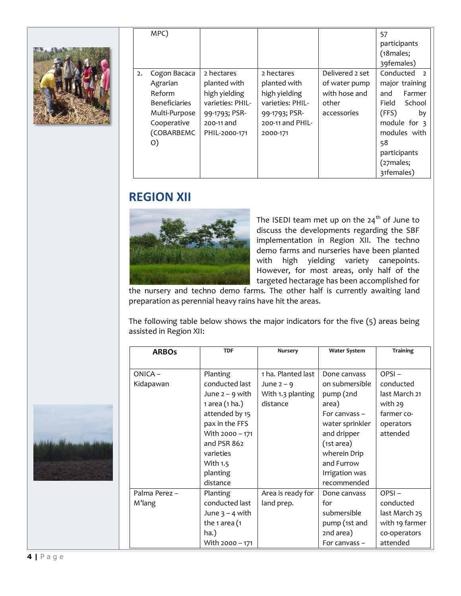

|    | MPC)                 |                  |                  |                 | 57                          |
|----|----------------------|------------------|------------------|-----------------|-----------------------------|
|    |                      |                  |                  |                 | participants                |
|    |                      |                  |                  |                 | $(18)$ males;               |
|    |                      |                  |                  |                 | 39females)                  |
| 2. | Cogon Bacaca         | 2 hectares       | 2 hectares       | Delivered 2 set | Conducted<br>$\overline{z}$ |
|    | Agrarian             | planted with     | planted with     | of water pump   | major training              |
|    | Reform               | high yielding    | high yielding    | with hose and   | Farmer<br>and               |
|    | <b>Beneficiaries</b> | varieties: PHIL- | varieties: PHIL- | other           | School<br>Field             |
|    | Multi-Purpose        | 99-1793; PSR-    | 99-1793; PSR-    | accessories     | (FFS)<br>by                 |
|    | Cooperative          | 200-11 and       | 200-11 and PHIL- |                 | module for $\frac{1}{3}$    |
|    | (COBARBEMC           | PHIL-2000-171    | 2000-171         |                 | modules with                |
|    | O)                   |                  |                  |                 | 58                          |
|    |                      |                  |                  |                 | participants                |
|    |                      |                  |                  |                 | (27males;                   |
|    |                      |                  |                  |                 | 31females)                  |

#### **REGION XII**



The ISEDI team met up on the  $24<sup>th</sup>$  of June to discuss the developments regarding the SBF implementation in Region XII. The techno demo farms and nurseries have been planted with high yielding variety canepoints. However, for most areas, only half of the targeted hectarage has been accomplished for

the nursery and techno demo farms. The other half is currently awaiting land preparation as perennial heavy rains have hit the areas.

The following table below shows the major indicators for the five (5) areas being assisted in Region XII:

| <b>ARBOs</b>  | <b>TDF</b>        | Nursery            | <b>Water System</b> | <b>Training</b> |
|---------------|-------------------|--------------------|---------------------|-----------------|
|               |                   |                    |                     |                 |
| $ONICA -$     | Planting          | 1 ha. Planted last | Done canvass        | $OPSI -$        |
| Kidapawan     | conducted last    | June $2 - 9$       | on submersible      | conducted       |
|               | June $2 - 9$ with | With 1.3 planting  | pump (2nd           | last March 21   |
|               | 1 area (1 ha.)    | distance           | area)               | with 29         |
|               | attended by 15    |                    | For canvass $-$     | farmer co-      |
|               | pax in the FFS    |                    | water sprinkler     | operators       |
|               | With 2000 - 171   |                    | and dripper         | attended        |
|               | and PSR 862       |                    | (1st area)          |                 |
|               | varieties         |                    | wherein Drip        |                 |
|               | With 1.5          |                    | and Furrow          |                 |
|               | planting          |                    | Irrigation was      |                 |
|               | distance          |                    | recommended         |                 |
| Palma Perez - | Planting          | Area is ready for  | Done canvass        | OPSI-           |
| M'lang        | conducted last    | land prep.         | for                 | conducted       |
|               | June $3 - 4$ with |                    | submersible         | last March 25   |
|               | the 1 area $(1)$  |                    | pump (1st and       | with 19 farmer  |
|               | ha.)              |                    | 2nd area)           | co-operators    |
|               | With 2000 - 171   |                    | For canvass $-$     | attended        |